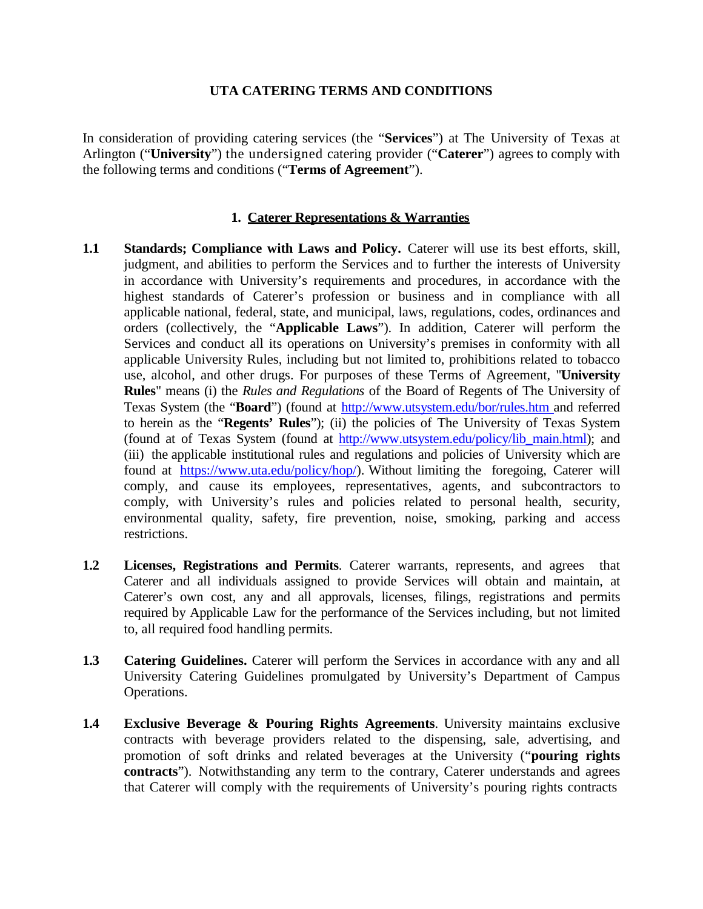#### **UTA CATERING TERMS AND CONDITIONS**

In consideration of providing catering services (the "**Services**") at The University of Texas at Arlington ("**University**") the undersigned catering provider ("**Caterer**") agrees to comply with the following terms and conditions ("**Terms of Agreement**").

#### **1. Caterer Representations & Warranties**

- **1.1 Standards; Compliance with Laws and Policy.** Caterer will use its best efforts, skill, judgment, and abilities to perform the Services and to further the interests of University in accordance with University's requirements and procedures, in accordance with the highest standards of Caterer's profession or business and in compliance with all applicable national, federal, state, and municipal, laws, regulations, codes, ordinances and orders (collectively, the "**Applicable Laws**"). In addition, Caterer will perform the Services and conduct all its operations on University's premises in conformity with all applicable University Rules, including but not limited to, prohibitions related to tobacco use, alcohol, and other drugs. For purposes of these Terms of Agreement, "**University Rules**" means (i) the *Rules and Regulations* of the Board of Regents of The University of Texas System (the "**Board**") (found at <http://www.utsystem.edu/bor/rules.htm> and referred to herein as the "**Regents' Rules**"); (ii) the policies of The University of Texas System (found at of Texas System (found at [http://www.utsystem.edu/policy/lib\\_main.html\)](http://www.utsystem.edu/policy/lib_main.html); and (iii) the applicable institutional rules and regulations and policies of University which are found at [https://www.uta.edu/policy/hop/\)](http://www.utsa.edu/policies.html). Without limiting the foregoing, Caterer will comply, and cause its employees, representatives, agents, and subcontractors to comply, with University's rules and policies related to personal health, security, environmental quality, safety, fire prevention, noise, smoking, parking and access restrictions.
- **1.2 Licenses, Registrations and Permits**. Caterer warrants, represents, and agrees that Caterer and all individuals assigned to provide Services will obtain and maintain, at Caterer's own cost, any and all approvals, licenses, filings, registrations and permits required by Applicable Law for the performance of the Services including, but not limited to, all required food handling permits.
- **1.3 Catering Guidelines.** Caterer will perform the Services in accordance with any and all University Catering Guidelines promulgated by University's Department of Campus Operations.
- **1.4 Exclusive Beverage & Pouring Rights Agreements**. University maintains exclusive contracts with beverage providers related to the dispensing, sale, advertising, and promotion of soft drinks and related beverages at the University ("**pouring rights contracts**"). Notwithstanding any term to the contrary, Caterer understands and agrees that Caterer will comply with the requirements of University's pouring rights contracts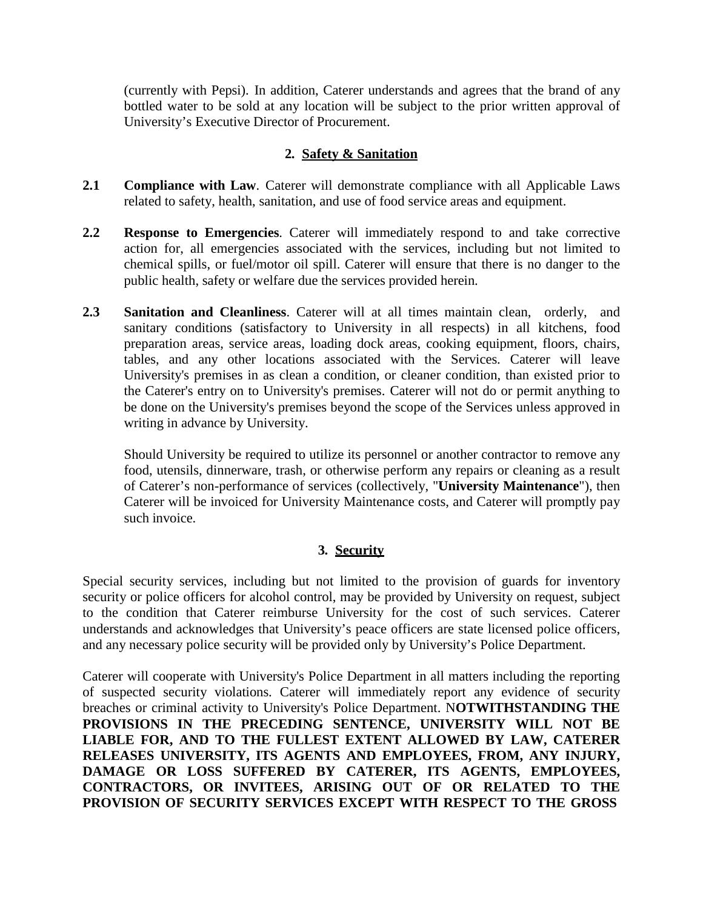(currently with Pepsi). In addition, Caterer understands and agrees that the brand of any bottled water to be sold at any location will be subject to the prior written approval of University's Executive Director of Procurement.

## **2. Safety & Sanitation**

- **2.1 Compliance with Law**. Caterer will demonstrate compliance with all Applicable Laws related to safety, health, sanitation, and use of food service areas and equipment.
- **2.2 Response to Emergencies**. Caterer will immediately respond to and take corrective action for, all emergencies associated with the services, including but not limited to chemical spills, or fuel/motor oil spill. Caterer will ensure that there is no danger to the public health, safety or welfare due the services provided herein.
- **2.3 Sanitation and Cleanliness**. Caterer will at all times maintain clean, orderly, and sanitary conditions (satisfactory to University in all respects) in all kitchens, food preparation areas, service areas, loading dock areas, cooking equipment, floors, chairs, tables, and any other locations associated with the Services. Caterer will leave University's premises in as clean a condition, or cleaner condition, than existed prior to the Caterer's entry on to University's premises. Caterer will not do or permit anything to be done on the University's premises beyond the scope of the Services unless approved in writing in advance by University.

Should University be required to utilize its personnel or another contractor to remove any food, utensils, dinnerware, trash, or otherwise perform any repairs or cleaning as a result of Caterer's non-performance of services (collectively, "**University Maintenance**"), then Caterer will be invoiced for University Maintenance costs, and Caterer will promptly pay such invoice.

# **3. Security**

Special security services, including but not limited to the provision of guards for inventory security or police officers for alcohol control, may be provided by University on request, subject to the condition that Caterer reimburse University for the cost of such services. Caterer understands and acknowledges that University's peace officers are state licensed police officers, and any necessary police security will be provided only by University's Police Department.

Caterer will cooperate with University's Police Department in all matters including the reporting of suspected security violations. Caterer will immediately report any evidence of security breaches or criminal activity to University's Police Department. N**OTWITHSTANDING THE PROVISIONS IN THE PRECEDING SENTENCE, UNIVERSITY WILL NOT BE LIABLE FOR, AND TO THE FULLEST EXTENT ALLOWED BY LAW, CATERER RELEASES UNIVERSITY, ITS AGENTS AND EMPLOYEES, FROM, ANY INJURY, DAMAGE OR LOSS SUFFERED BY CATERER, ITS AGENTS, EMPLOYEES, CONTRACTORS, OR INVITEES, ARISING OUT OF OR RELATED TO THE PROVISION OF SECURITY SERVICES EXCEPT WITH RESPECT TO THE GROSS**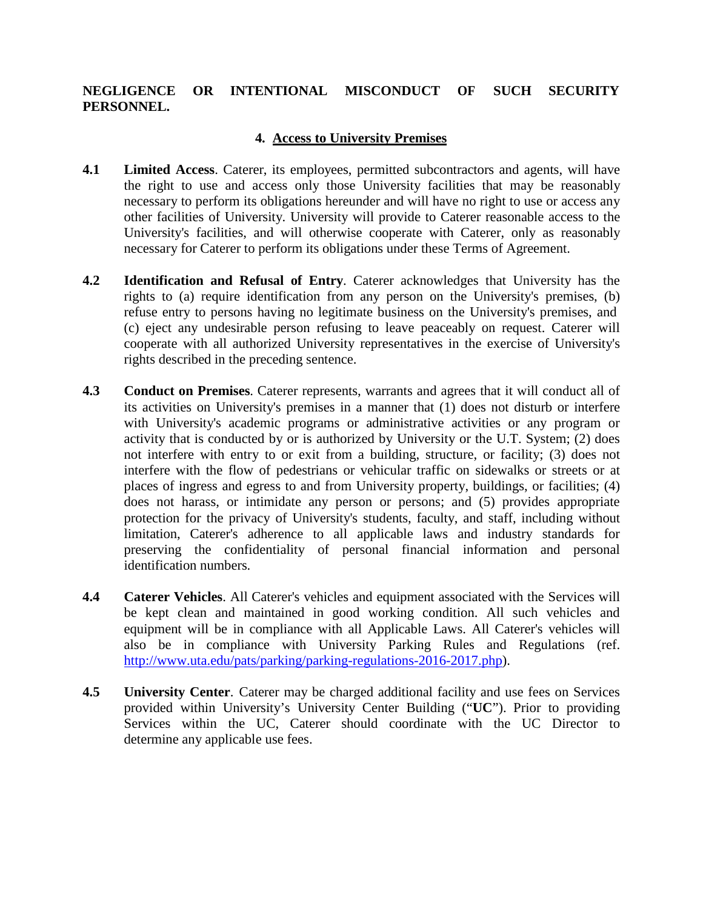## **NEGLIGENCE OR INTENTIONAL MISCONDUCT OF SUCH SECURITY PERSONNEL.**

### **4. Access to University Premises**

- **4.1 Limited Access**. Caterer, its employees, permitted subcontractors and agents, will have the right to use and access only those University facilities that may be reasonably necessary to perform its obligations hereunder and will have no right to use or access any other facilities of University. University will provide to Caterer reasonable access to the University's facilities, and will otherwise cooperate with Caterer, only as reasonably necessary for Caterer to perform its obligations under these Terms of Agreement.
- **4.2 Identification and Refusal of Entry**. Caterer acknowledges that University has the rights to (a) require identification from any person on the University's premises, (b) refuse entry to persons having no legitimate business on the University's premises, and (c) eject any undesirable person refusing to leave peaceably on request. Caterer will cooperate with all authorized University representatives in the exercise of University's rights described in the preceding sentence.
- **4.3 Conduct on Premises**. Caterer represents, warrants and agrees that it will conduct all of its activities on University's premises in a manner that (1) does not disturb or interfere with University's academic programs or administrative activities or any program or activity that is conducted by or is authorized by University or the U.T. System; (2) does not interfere with entry to or exit from a building, structure, or facility; (3) does not interfere with the flow of pedestrians or vehicular traffic on sidewalks or streets or at places of ingress and egress to and from University property, buildings, or facilities; (4) does not harass, or intimidate any person or persons; and (5) provides appropriate protection for the privacy of University's students, faculty, and staff, including without limitation, Caterer's adherence to all applicable laws and industry standards for preserving the confidentiality of personal financial information and personal identification numbers.
- **4.4 Caterer Vehicles**. All Caterer's vehicles and equipment associated with the Services will be kept clean and maintained in good working condition. All such vehicles and equipment will be in compliance with all Applicable Laws. All Caterer's vehicles will also be in compliance with University Parking Rules and Regulations (ref. [http://www.uta.edu/pats/parking/parking-regulations-2016-2017.php\)](http://www.uta.edu/pats/parking/parking-regulations-2016-2017.php).
- **4.5 University Center**. Caterer may be charged additional facility and use fees on Services provided within University's University Center Building ("**UC**"). Prior to providing Services within the UC, Caterer should coordinate with the UC Director to determine any applicable use fees.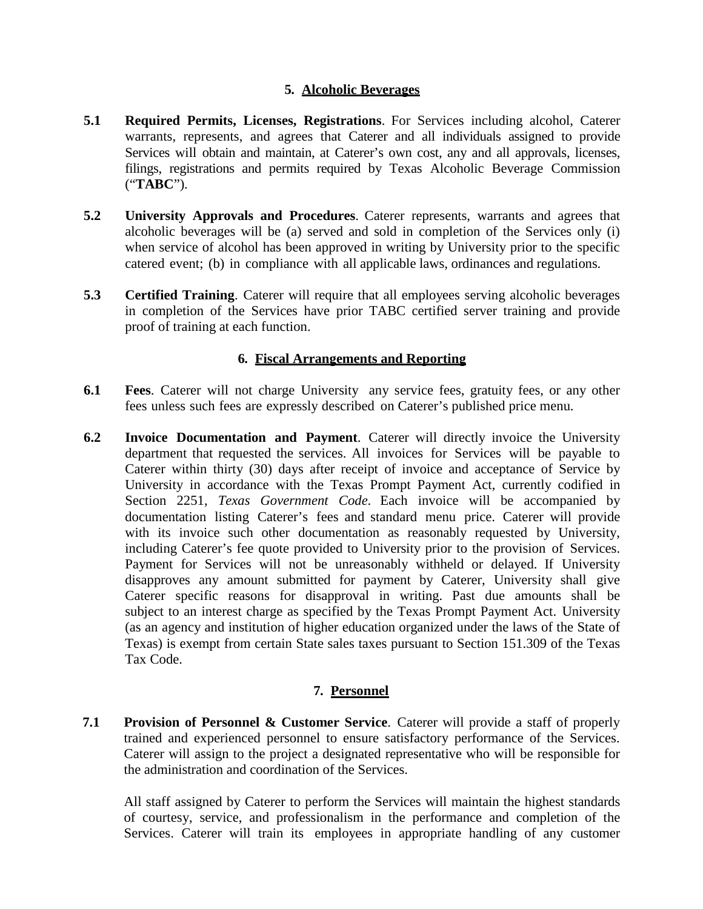### **5. Alcoholic Beverages**

- **5.1 Required Permits, Licenses, Registrations**. For Services including alcohol, Caterer warrants, represents, and agrees that Caterer and all individuals assigned to provide Services will obtain and maintain, at Caterer's own cost, any and all approvals, licenses, filings, registrations and permits required by Texas Alcoholic Beverage Commission ("**TABC**").
- **5.2 University Approvals and Procedures**. Caterer represents, warrants and agrees that alcoholic beverages will be (a) served and sold in completion of the Services only (i) when service of alcohol has been approved in writing by University prior to the specific catered event; (b) in compliance with all applicable laws, ordinances and regulations.
- **5.3 Certified Training**. Caterer will require that all employees serving alcoholic beverages in completion of the Services have prior TABC certified server training and provide proof of training at each function.

#### **6. Fiscal Arrangements and Reporting**

- **6.1 Fees**. Caterer will not charge University any service fees, gratuity fees, or any other fees unless such fees are expressly described on Caterer's published price menu.
- **6.2 Invoice Documentation and Payment**. Caterer will directly invoice the University department that requested the services. All invoices for Services will be payable to Caterer within thirty (30) days after receipt of invoice and acceptance of Service by University in accordance with the Texas Prompt Payment Act, currently codified in Section 2251, *Texas Government Code*. Each invoice will be accompanied by documentation listing Caterer's fees and standard menu price. Caterer will provide with its invoice such other documentation as reasonably requested by University, including Caterer's fee quote provided to University prior to the provision of Services. Payment for Services will not be unreasonably withheld or delayed. If University disapproves any amount submitted for payment by Caterer, University shall give Caterer specific reasons for disapproval in writing. Past due amounts shall be subject to an interest charge as specified by the Texas Prompt Payment Act. University (as an agency and institution of higher education organized under the laws of the State of Texas) is exempt from certain State sales taxes pursuant to Section 151.309 of the Texas Tax Code.

#### **7. Personnel**

**7.1 Provision of Personnel & Customer Service**. Caterer will provide a staff of properly trained and experienced personnel to ensure satisfactory performance of the Services. Caterer will assign to the project a designated representative who will be responsible for the administration and coordination of the Services.

All staff assigned by Caterer to perform the Services will maintain the highest standards of courtesy, service, and professionalism in the performance and completion of the Services. Caterer will train its employees in appropriate handling of any customer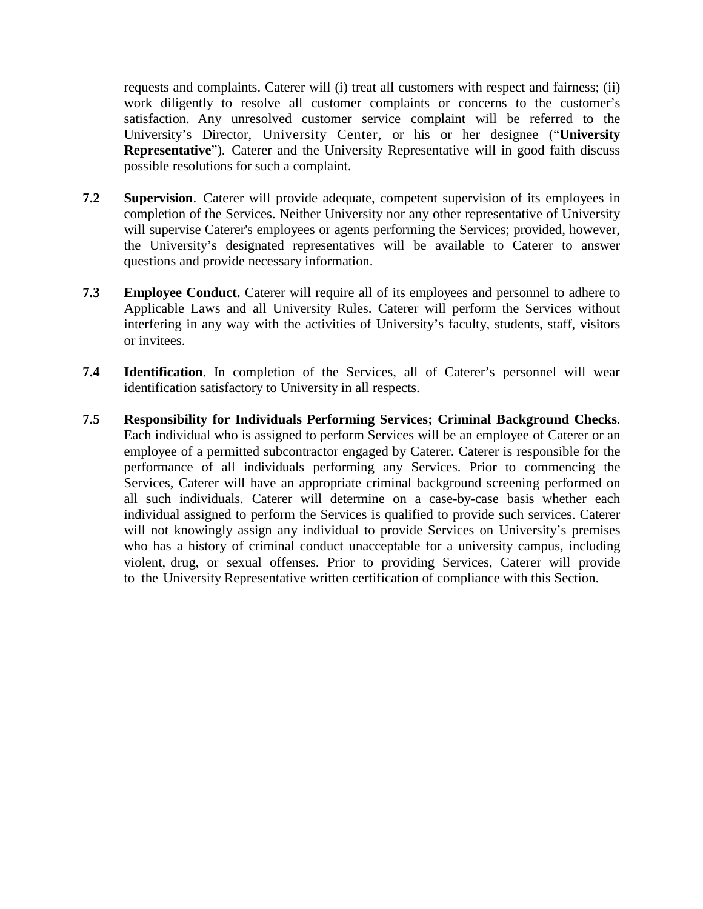requests and complaints. Caterer will (i) treat all customers with respect and fairness; (ii) work diligently to resolve all customer complaints or concerns to the customer's satisfaction. Any unresolved customer service complaint will be referred to the University's Director, University Center, or his or her designee ("**University Representative**"). Caterer and the University Representative will in good faith discuss possible resolutions for such a complaint.

- **7.2 Supervision**. Caterer will provide adequate, competent supervision of its employees in completion of the Services. Neither University nor any other representative of University will supervise Caterer's employees or agents performing the Services; provided, however, the University's designated representatives will be available to Caterer to answer questions and provide necessary information.
- **7.3 Employee Conduct.** Caterer will require all of its employees and personnel to adhere to Applicable Laws and all University Rules. Caterer will perform the Services without interfering in any way with the activities of University's faculty, students, staff, visitors or invitees.
- **7.4 Identification**. In completion of the Services, all of Caterer's personnel will wear identification satisfactory to University in all respects.
- **7.5 Responsibility for Individuals Performing Services; Criminal Background Checks**. Each individual who is assigned to perform Services will be an employee of Caterer or an employee of a permitted subcontractor engaged by Caterer. Caterer is responsible for the performance of all individuals performing any Services. Prior to commencing the Services, Caterer will have an appropriate criminal background screening performed on all such individuals. Caterer will determine on a case-by-case basis whether each individual assigned to perform the Services is qualified to provide such services. Caterer will not knowingly assign any individual to provide Services on University's premises who has a history of criminal conduct unacceptable for a university campus, including violent, drug, or sexual offenses. Prior to providing Services, Caterer will provide to the University Representative written certification of compliance with this Section.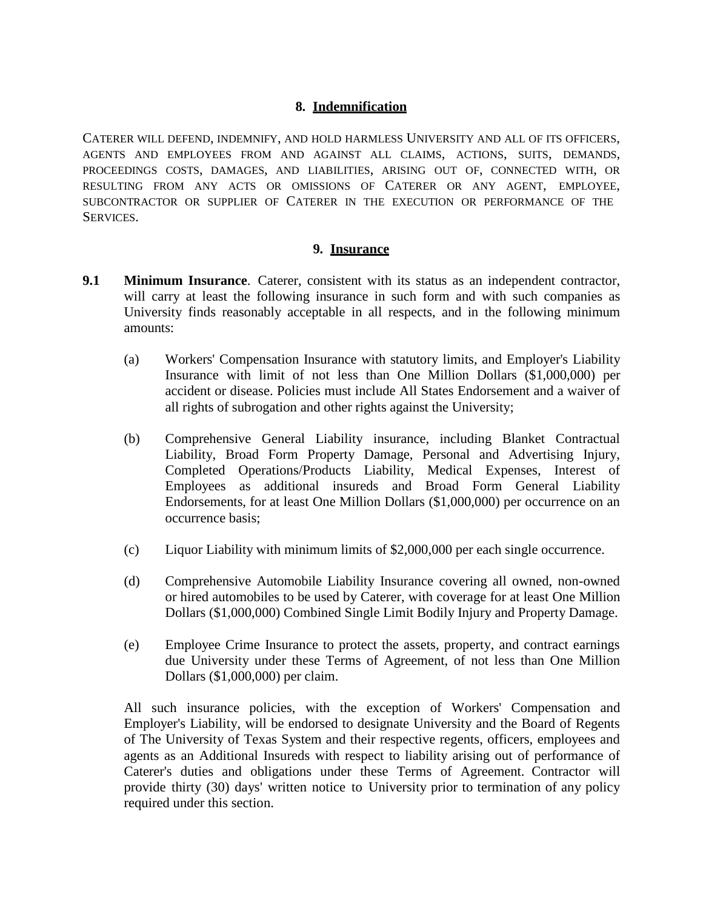#### **8. Indemnification**

CATERER WILL DEFEND, INDEMNIFY, AND HOLD HARMLESS UNIVERSITY AND ALL OF ITS OFFICERS, AGENTS AND EMPLOYEES FROM AND AGAINST ALL CLAIMS, ACTIONS, SUITS, DEMANDS, PROCEEDINGS COSTS, DAMAGES, AND LIABILITIES, ARISING OUT OF, CONNECTED WITH, OR RESULTING FROM ANY ACTS OR OMISSIONS OF CATERER OR ANY AGENT, EMPLOYEE, SUBCONTRACTOR OR SUPPLIER OF CATERER IN THE EXECUTION OR PERFORMANCE OF THE **SERVICES.** 

#### **9. Insurance**

- **9.1 Minimum Insurance**. Caterer, consistent with its status as an independent contractor, will carry at least the following insurance in such form and with such companies as University finds reasonably acceptable in all respects, and in the following minimum amounts:
	- (a) Workers' Compensation Insurance with statutory limits, and Employer's Liability Insurance with limit of not less than One Million Dollars (\$1,000,000) per accident or disease. Policies must include All States Endorsement and a waiver of all rights of subrogation and other rights against the University;
	- (b) Comprehensive General Liability insurance, including Blanket Contractual Liability, Broad Form Property Damage, Personal and Advertising Injury, Completed Operations/Products Liability, Medical Expenses, Interest of Employees as additional insureds and Broad Form General Liability Endorsements, for at least One Million Dollars (\$1,000,000) per occurrence on an occurrence basis;
	- (c) Liquor Liability with minimum limits of \$2,000,000 per each single occurrence.
	- (d) Comprehensive Automobile Liability Insurance covering all owned, non-owned or hired automobiles to be used by Caterer, with coverage for at least One Million Dollars (\$1,000,000) Combined Single Limit Bodily Injury and Property Damage.
	- (e) Employee Crime Insurance to protect the assets, property, and contract earnings due University under these Terms of Agreement, of not less than One Million Dollars (\$1,000,000) per claim.

All such insurance policies, with the exception of Workers' Compensation and Employer's Liability, will be endorsed to designate University and the Board of Regents of The University of Texas System and their respective regents, officers, employees and agents as an Additional Insureds with respect to liability arising out of performance of Caterer's duties and obligations under these Terms of Agreement. Contractor will provide thirty (30) days' written notice to University prior to termination of any policy required under this section.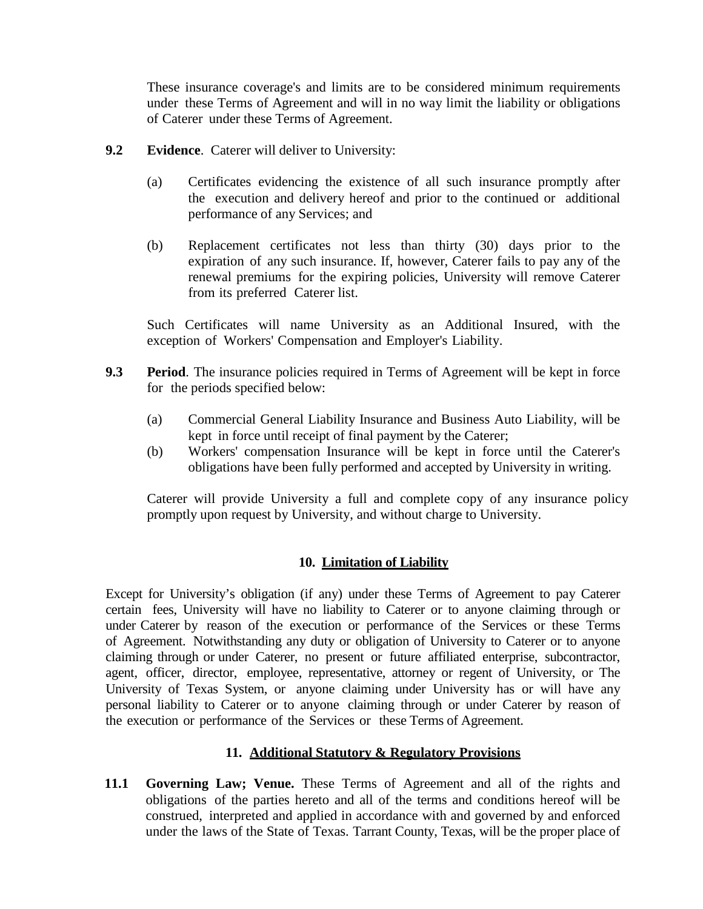These insurance coverage's and limits are to be considered minimum requirements under these Terms of Agreement and will in no way limit the liability or obligations of Caterer under these Terms of Agreement.

- **9.2 Evidence**. Caterer will deliver to University:
	- (a) Certificates evidencing the existence of all such insurance promptly after the execution and delivery hereof and prior to the continued or additional performance of any Services; and
	- (b) Replacement certificates not less than thirty (30) days prior to the expiration of any such insurance. If, however, Caterer fails to pay any of the renewal premiums for the expiring policies, University will remove Caterer from its preferred Caterer list.

Such Certificates will name University as an Additional Insured, with the exception of Workers' Compensation and Employer's Liability.

- **9.3 Period**. The insurance policies required in Terms of Agreement will be kept in force for the periods specified below:
	- (a) Commercial General Liability Insurance and Business Auto Liability, will be kept in force until receipt of final payment by the Caterer;
	- (b) Workers' compensation Insurance will be kept in force until the Caterer's obligations have been fully performed and accepted by University in writing.

Caterer will provide University a full and complete copy of any insurance policy promptly upon request by University, and without charge to University.

## **10. Limitation of Liability**

Except for University's obligation (if any) under these Terms of Agreement to pay Caterer certain fees, University will have no liability to Caterer or to anyone claiming through or under Caterer by reason of the execution or performance of the Services or these Terms of Agreement. Notwithstanding any duty or obligation of University to Caterer or to anyone claiming through or under Caterer, no present or future affiliated enterprise, subcontractor, agent, officer, director, employee, representative, attorney or regent of University, or The University of Texas System, or anyone claiming under University has or will have any personal liability to Caterer or to anyone claiming through or under Caterer by reason of the execution or performance of the Services or these Terms of Agreement.

## **11. Additional Statutory & Regulatory Provisions**

**11.1 Governing Law; Venue.** These Terms of Agreement and all of the rights and obligations of the parties hereto and all of the terms and conditions hereof will be construed, interpreted and applied in accordance with and governed by and enforced under the laws of the State of Texas. Tarrant County, Texas, will be the proper place of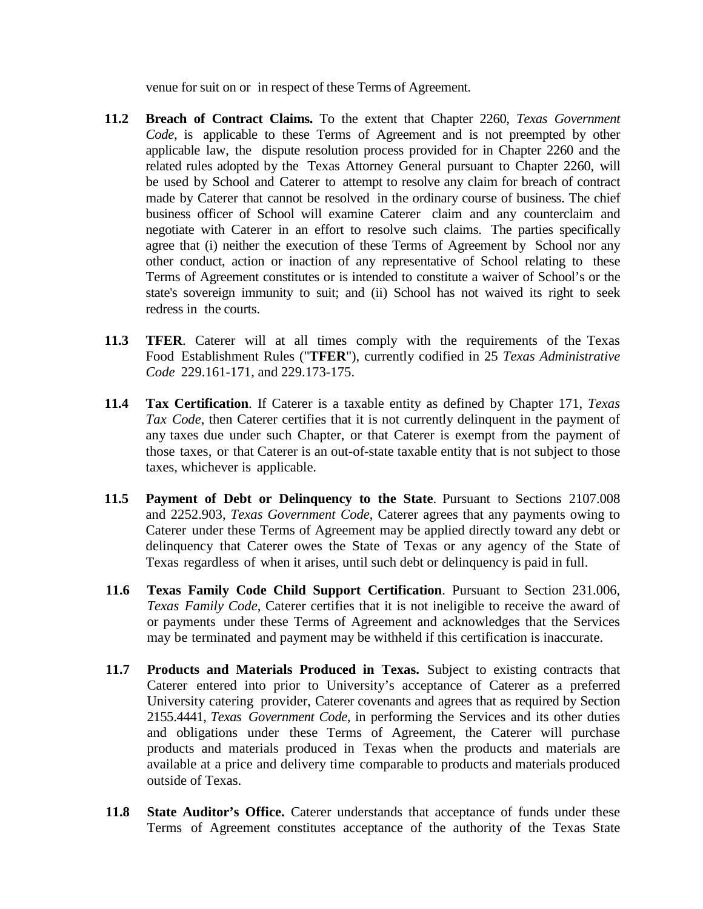venue for suit on or in respect of these Terms of Agreement.

- **11.2 Breach of Contract Claims.** To the extent that Chapter 2260, *Texas Government Code*, is applicable to these Terms of Agreement and is not preempted by other applicable law, the dispute resolution process provided for in Chapter 2260 and the related rules adopted by the Texas Attorney General pursuant to Chapter 2260, will be used by School and Caterer to attempt to resolve any claim for breach of contract made by Caterer that cannot be resolved in the ordinary course of business. The chief business officer of School will examine Caterer claim and any counterclaim and negotiate with Caterer in an effort to resolve such claims. The parties specifically agree that (i) neither the execution of these Terms of Agreement by School nor any other conduct, action or inaction of any representative of School relating to these Terms of Agreement constitutes or is intended to constitute a waiver of School's or the state's sovereign immunity to suit; and (ii) School has not waived its right to seek redress in the courts.
- **11.3 TFER**. Caterer will at all times comply with the requirements of the Texas Food Establishment Rules ("**TFER**"), currently codified in 25 *Texas Administrative Code* 229.161-171, and 229.173-175.
- **11.4 Tax Certification**. If Caterer is a taxable entity as defined by Chapter 171, *Texas Tax Code*, then Caterer certifies that it is not currently delinquent in the payment of any taxes due under such Chapter, or that Caterer is exempt from the payment of those taxes, or that Caterer is an out-of-state taxable entity that is not subject to those taxes, whichever is applicable.
- **11.5 Payment of Debt or Delinquency to the State**. Pursuant to Sections 2107.008 and 2252.903, *Texas Government Code*, Caterer agrees that any payments owing to Caterer under these Terms of Agreement may be applied directly toward any debt or delinquency that Caterer owes the State of Texas or any agency of the State of Texas regardless of when it arises, until such debt or delinquency is paid in full.
- **11.6 Texas Family Code Child Support Certification**. Pursuant to Section 231.006, *Texas Family Code*, Caterer certifies that it is not ineligible to receive the award of or payments under these Terms of Agreement and acknowledges that the Services may be terminated and payment may be withheld if this certification is inaccurate.
- **11.7 Products and Materials Produced in Texas.** Subject to existing contracts that Caterer entered into prior to University's acceptance of Caterer as a preferred University catering provider, Caterer covenants and agrees that as required by Section 2155.4441, *Texas Government Code*, in performing the Services and its other duties and obligations under these Terms of Agreement, the Caterer will purchase products and materials produced in Texas when the products and materials are available at a price and delivery time comparable to products and materials produced outside of Texas.
- **11.8 State Auditor's Office.** Caterer understands that acceptance of funds under these Terms of Agreement constitutes acceptance of the authority of the Texas State